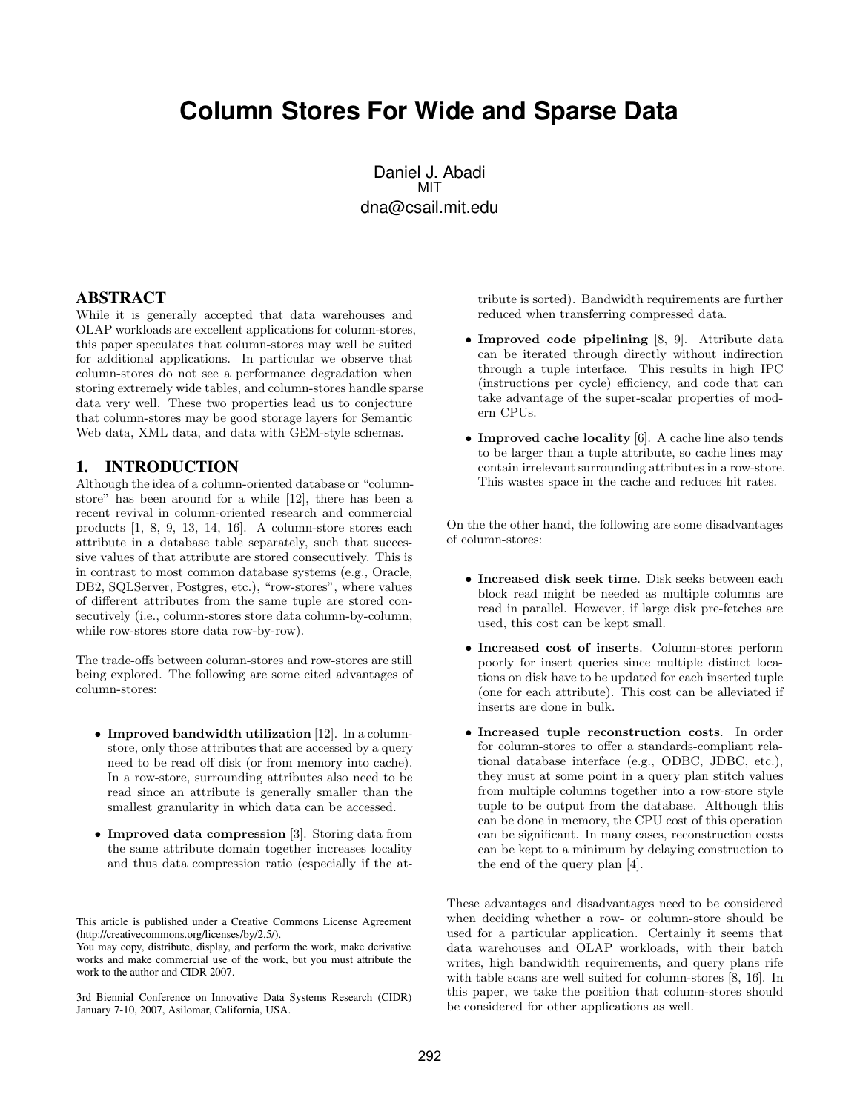# **Column Stores For Wide and Sparse Data**

Daniel J. Abadi MIT dna@csail.mit.edu

#### **ABSTRACT**

While it is generally accepted that data warehouses and OLAP workloads are excellent applications for column-stores, this paper speculates that column-stores may well be suited for additional applications. In particular we observe that column-stores do not see a performance degradation when storing extremely wide tables, and column-stores handle sparse data very well. These two properties lead us to conjecture that column-stores may be good storage layers for Semantic Web data, XML data, and data with GEM-style schemas.

#### **1. INTRODUCTION**

Although the idea of a column-oriented database or "columnstore" has been around for a while [12], there has been a recent revival in column-oriented research and commercial products [1, 8, 9, 13, 14, 16]. A column-store stores each attribute in a database table separately, such that successive values of that attribute are stored consecutively. This is in contrast to most common database systems (e.g., Oracle, DB2, SQLServer, Postgres, etc.), "row-stores", where values of different attributes from the same tuple are stored consecutively (i.e., column-stores store data column-by-column, while row-stores store data row-by-row).

The trade-offs between column-stores and row-stores are still being explored. The following are some cited advantages of column-stores:

- Improved bandwidth utilization [12]. In a columnstore, only those attributes that are accessed by a query need to be read off disk (or from memory into cache). In a row-store, surrounding attributes also need to be read since an attribute is generally smaller than the smallest granularity in which data can be accessed.
- Improved data compression [3]. Storing data from the same attribute domain together increases locality and thus data compression ratio (especially if the at-

This article is published under a Creative Commons License Agreement (http://creativecommons.org/licenses/by/2.5/).

You may copy, distribute, display, and perform the work, make derivative works and make commercial use of the work, but you must attribute the work to the author and CIDR 2007.

3rd Biennial Conference on Innovative Data Systems Research (CIDR) January 7-10, 2007, Asilomar, California, USA.

tribute is sorted). Bandwidth requirements are further reduced when transferring compressed data.

- Improved code pipelining [8, 9]. Attribute data can be iterated through directly without indirection through a tuple interface. This results in high IPC (instructions per cycle) efficiency, and code that can take advantage of the super-scalar properties of modern CPUs.
- Improved cache locality [6]. A cache line also tends to be larger than a tuple attribute, so cache lines may contain irrelevant surrounding attributes in a row-store. This wastes space in the cache and reduces hit rates.

On the the other hand, the following are some disadvantages of column-stores:

- Increased disk seek time. Disk seeks between each block read might be needed as multiple columns are read in parallel. However, if large disk pre-fetches are used, this cost can be kept small.
- Increased cost of inserts. Column-stores perform poorly for insert queries since multiple distinct locations on disk have to be updated for each inserted tuple (one for each attribute). This cost can be alleviated if inserts are done in bulk.
- Increased tuple reconstruction costs. In order for column-stores to offer a standards-compliant relational database interface (e.g., ODBC, JDBC, etc.), they must at some point in a query plan stitch values from multiple columns together into a row-store style tuple to be output from the database. Although this can be done in memory, the CPU cost of this operation can be significant. In many cases, reconstruction costs can be kept to a minimum by delaying construction to the end of the query plan [4].

These advantages and disadvantages need to be considered when deciding whether a row- or column-store should be used for a particular application. Certainly it seems that data warehouses and OLAP workloads, with their batch writes, high bandwidth requirements, and query plans rife with table scans are well suited for column-stores [8, 16]. In this paper, we take the position that column-stores should be considered for other applications as well.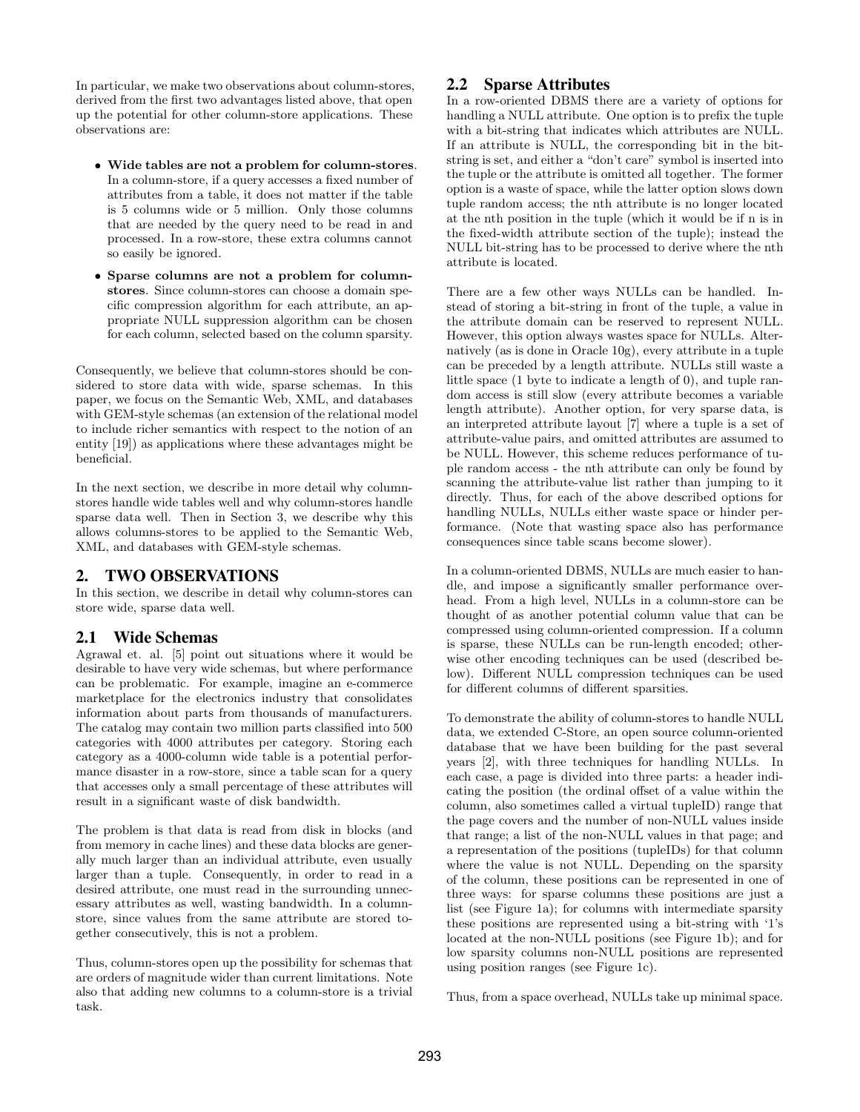In particular, we make two observations about column-stores, derived from the first two advantages listed above, that open up the potential for other column-store applications. These observations are:

- Wide tables are not a problem for column-stores. In a column-store, if a query accesses a fixed number of attributes from a table, it does not matter if the table is 5 columns wide or 5 million. Only those columns that are needed by the query need to be read in and processed. In a row-store, these extra columns cannot so easily be ignored.
- Sparse columns are not a problem for columnstores. Since column-stores can choose a domain specific compression algorithm for each attribute, an appropriate NULL suppression algorithm can be chosen for each column, selected based on the column sparsity.

Consequently, we believe that column-stores should be considered to store data with wide, sparse schemas. In this paper, we focus on the Semantic Web, XML, and databases with GEM-style schemas (an extension of the relational model to include richer semantics with respect to the notion of an entity [19]) as applications where these advantages might be beneficial.

In the next section, we describe in more detail why columnstores handle wide tables well and why column-stores handle sparse data well. Then in Section 3, we describe why this allows columns-stores to be applied to the Semantic Web, XML, and databases with GEM-style schemas.

# **2. TWO OBSERVATIONS**

In this section, we describe in detail why column-stores can store wide, sparse data well.

# **2.1 Wide Schemas**

Agrawal et. al. [5] point out situations where it would be desirable to have very wide schemas, but where performance can be problematic. For example, imagine an e-commerce marketplace for the electronics industry that consolidates information about parts from thousands of manufacturers. The catalog may contain two million parts classified into 500 categories with 4000 attributes per category. Storing each category as a 4000-column wide table is a potential performance disaster in a row-store, since a table scan for a query that accesses only a small percentage of these attributes will result in a significant waste of disk bandwidth.

The problem is that data is read from disk in blocks (and from memory in cache lines) and these data blocks are generally much larger than an individual attribute, even usually larger than a tuple. Consequently, in order to read in a desired attribute, one must read in the surrounding unnecessary attributes as well, wasting bandwidth. In a columnstore, since values from the same attribute are stored together consecutively, this is not a problem.

Thus, column-stores open up the possibility for schemas that are orders of magnitude wider than current limitations. Note also that adding new columns to a column-store is a trivial task.

## **2.2 Sparse Attributes**

In a row-oriented DBMS there are a variety of options for handling a NULL attribute. One option is to prefix the tuple with a bit-string that indicates which attributes are NULL. If an attribute is NULL, the corresponding bit in the bitstring is set, and either a "don't care" symbol is inserted into the tuple or the attribute is omitted all together. The former option is a waste of space, while the latter option slows down tuple random access; the nth attribute is no longer located at the nth position in the tuple (which it would be if n is in the fixed-width attribute section of the tuple); instead the NULL bit-string has to be processed to derive where the nth attribute is located.

There are a few other ways NULLs can be handled. Instead of storing a bit-string in front of the tuple, a value in the attribute domain can be reserved to represent NULL. However, this option always wastes space for NULLs. Alternatively (as is done in Oracle 10g), every attribute in a tuple can be preceded by a length attribute. NULLs still waste a little space (1 byte to indicate a length of 0), and tuple random access is still slow (every attribute becomes a variable length attribute). Another option, for very sparse data, is an interpreted attribute layout [7] where a tuple is a set of attribute-value pairs, and omitted attributes are assumed to be NULL. However, this scheme reduces performance of tuple random access - the nth attribute can only be found by scanning the attribute-value list rather than jumping to it directly. Thus, for each of the above described options for handling NULLs, NULLs either waste space or hinder performance. (Note that wasting space also has performance consequences since table scans become slower).

In a column-oriented DBMS, NULLs are much easier to handle, and impose a significantly smaller performance overhead. From a high level, NULLs in a column-store can be thought of as another potential column value that can be compressed using column-oriented compression. If a column is sparse, these NULLs can be run-length encoded; otherwise other encoding techniques can be used (described below). Different NULL compression techniques can be used for different columns of different sparsities.

To demonstrate the ability of column-stores to handle NULL data, we extended C-Store, an open source column-oriented database that we have been building for the past several years [2], with three techniques for handling NULLs. In each case, a page is divided into three parts: a header indicating the position (the ordinal offset of a value within the column, also sometimes called a virtual tupleID) range that the page covers and the number of non-NULL values inside that range; a list of the non-NULL values in that page; and a representation of the positions (tupleIDs) for that column where the value is not NULL. Depending on the sparsity of the column, these positions can be represented in one of three ways: for sparse columns these positions are just a list (see Figure 1a); for columns with intermediate sparsity these positions are represented using a bit-string with '1's located at the non-NULL positions (see Figure 1b); and for low sparsity columns non-NULL positions are represented using position ranges (see Figure 1c).

Thus, from a space overhead, NULLs take up minimal space.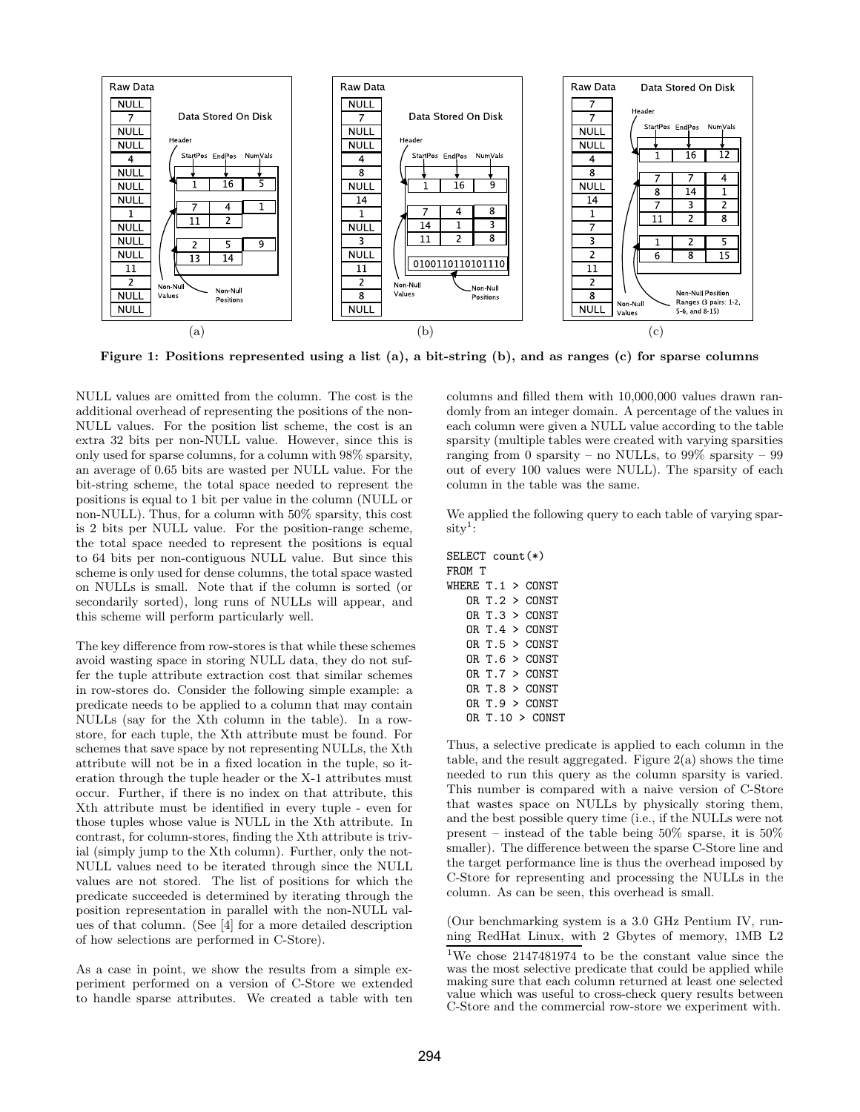

Figure 1: Positions represented using a list (a), a bit-string (b), and as ranges (c) for sparse columns

NULL values are omitted from the column. The cost is the additional overhead of representing the positions of the non-NULL values. For the position list scheme, the cost is an extra 32 bits per non-NULL value. However, since this is only used for sparse columns, for a column with 98% sparsity, an average of 0.65 bits are wasted per NULL value. For the bit-string scheme, the total space needed to represent the positions is equal to 1 bit per value in the column (NULL or non-NULL). Thus, for a column with 50% sparsity, this cost is 2 bits per NULL value. For the position-range scheme, the total space needed to represent the positions is equal to 64 bits per non-contiguous NULL value. But since this scheme is only used for dense columns, the total space wasted on NULLs is small. Note that if the column is sorted (or secondarily sorted), long runs of NULLs will appear, and this scheme will perform particularly well.

The key difference from row-stores is that while these schemes avoid wasting space in storing NULL data, they do not suffer the tuple attribute extraction cost that similar schemes in row-stores do. Consider the following simple example: a predicate needs to be applied to a column that may contain NULLs (say for the Xth column in the table). In a rowstore, for each tuple, the Xth attribute must be found. For schemes that save space by not representing NULLs, the Xth attribute will not be in a fixed location in the tuple, so iteration through the tuple header or the X-1 attributes must occur. Further, if there is no index on that attribute, this Xth attribute must be identified in every tuple - even for those tuples whose value is NULL in the Xth attribute. In contrast, for column-stores, finding the Xth attribute is trivial (simply jump to the Xth column). Further, only the not-NULL values need to be iterated through since the NULL values are not stored. The list of positions for which the predicate succeeded is determined by iterating through the position representation in parallel with the non-NULL values of that column. (See [4] for a more detailed description of how selections are performed in C-Store).

As a case in point, we show the results from a simple experiment performed on a version of C-Store we extended to handle sparse attributes. We created a table with ten

columns and filled them with 10,000,000 values drawn randomly from an integer domain. A percentage of the values in each column were given a NULL value according to the table sparsity (multiple tables were created with varying sparsities ranging from 0 sparsity – no NULLs, to 99% sparsity – 99 out of every 100 values were NULL). The sparsity of each column in the table was the same.

We applied the following query to each table of varying spar $sity<sup>1</sup>$ :

| $SELECT$ count $(*)$ |  |  |                        |  |  |  |  |
|----------------------|--|--|------------------------|--|--|--|--|
| FROM T               |  |  |                        |  |  |  |  |
| WHERE $T.1 > CONST$  |  |  |                        |  |  |  |  |
|                      |  |  | $OR$ T.2 $>$ CONST     |  |  |  |  |
|                      |  |  | OR T 3 > CONST         |  |  |  |  |
|                      |  |  | OR T 4 > CONST         |  |  |  |  |
|                      |  |  | OR T 5 > CONST         |  |  |  |  |
|                      |  |  | OR T.6 > CONST         |  |  |  |  |
|                      |  |  | OR T 7 > CONST         |  |  |  |  |
|                      |  |  | OR T 8 > CONST         |  |  |  |  |
|                      |  |  | $OR$ T $9$ $>$ $CONST$ |  |  |  |  |
|                      |  |  | R T 10 > CONST         |  |  |  |  |

Thus, a selective predicate is applied to each column in the table, and the result aggregated. Figure 2(a) shows the time needed to run this query as the column sparsity is varied. This number is compared with a naive version of C-Store that wastes space on NULLs by physically storing them, and the best possible query time (i.e., if the NULLs were not present – instead of the table being 50% sparse, it is 50% smaller). The difference between the sparse C-Store line and the target performance line is thus the overhead imposed by C-Store for representing and processing the NULLs in the column. As can be seen, this overhead is small.

(Our benchmarking system is a 3.0 GHz Pentium IV, running RedHat Linux, with 2 Gbytes of memory, 1MB L2

<sup>&</sup>lt;sup>1</sup>We chose 2147481974 to be the constant value since the was the most selective predicate that could be applied while making sure that each column returned at least one selected value which was useful to cross-check query results between C-Store and the commercial row-store we experiment with.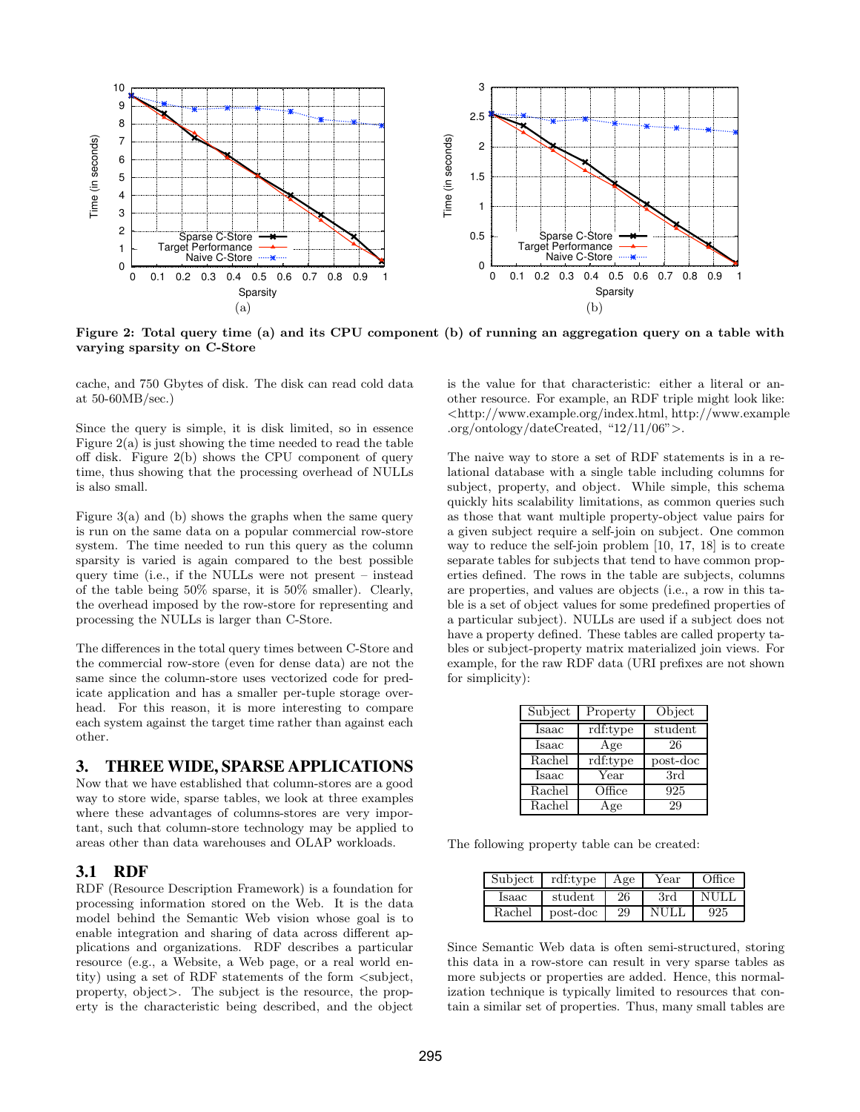

Figure 2: Total query time (a) and its CPU component (b) of running an aggregation query on a table with varying sparsity on C-Store

cache, and 750 Gbytes of disk. The disk can read cold data at 50-60MB/sec.)

Since the query is simple, it is disk limited, so in essence Figure 2(a) is just showing the time needed to read the table off disk. Figure 2(b) shows the CPU component of query time, thus showing that the processing overhead of NULLs is also small.

Figure 3(a) and (b) shows the graphs when the same query is run on the same data on a popular commercial row-store system. The time needed to run this query as the column sparsity is varied is again compared to the best possible query time (i.e., if the NULLs were not present – instead of the table being 50% sparse, it is 50% smaller). Clearly, the overhead imposed by the row-store for representing and processing the NULLs is larger than C-Store.

The differences in the total query times between C-Store and the commercial row-store (even for dense data) are not the same since the column-store uses vectorized code for predicate application and has a smaller per-tuple storage overhead. For this reason, it is more interesting to compare each system against the target time rather than against each other.

## **3. THREE WIDE, SPARSE APPLICATIONS**

Now that we have established that column-stores are a good way to store wide, sparse tables, we look at three examples where these advantages of columns-stores are very important, such that column-store technology may be applied to areas other than data warehouses and OLAP workloads.

#### **3.1 RDF**

RDF (Resource Description Framework) is a foundation for processing information stored on the Web. It is the data model behind the Semantic Web vision whose goal is to enable integration and sharing of data across different applications and organizations. RDF describes a particular resource (e.g., a Website, a Web page, or a real world entity) using a set of RDF statements of the form  $\lt$ subject, property, object>. The subject is the resource, the property is the characteristic being described, and the object is the value for that characteristic: either a literal or another resource. For example, an RDF triple might look like: <http://www.example.org/index.html, http://www.example .org/ontology/dateCreated, "12/11/06">.

The naive way to store a set of RDF statements is in a relational database with a single table including columns for subject, property, and object. While simple, this schema quickly hits scalability limitations, as common queries such as those that want multiple property-object value pairs for a given subject require a self-join on subject. One common way to reduce the self-join problem [10, 17, 18] is to create separate tables for subjects that tend to have common properties defined. The rows in the table are subjects, columns are properties, and values are objects (i.e., a row in this table is a set of object values for some predefined properties of a particular subject). NULLs are used if a subject does not have a property defined. These tables are called property tables or subject-property matrix materialized join views. For example, for the raw RDF data (URI prefixes are not shown for simplicity):

| Subject | Property | Object   |
|---------|----------|----------|
| Isaac   | rdf:type | student  |
| Isaac   | Age      | 26       |
| Rachel  | rdf:type | post-doc |
| Isaac   | Year     | 3rd      |
| Rachel  | Office   | 925      |
| Rachel  | Age      | 29       |

The following property table can be created:

| Subject | rdf:type | Age | Year | Office |
|---------|----------|-----|------|--------|
| Isaac   | student  | 26  | 3rd  | NHLI.  |
| Rachel  | post-doc | 29  | NHLI | 925    |

Since Semantic Web data is often semi-structured, storing this data in a row-store can result in very sparse tables as more subjects or properties are added. Hence, this normalization technique is typically limited to resources that contain a similar set of properties. Thus, many small tables are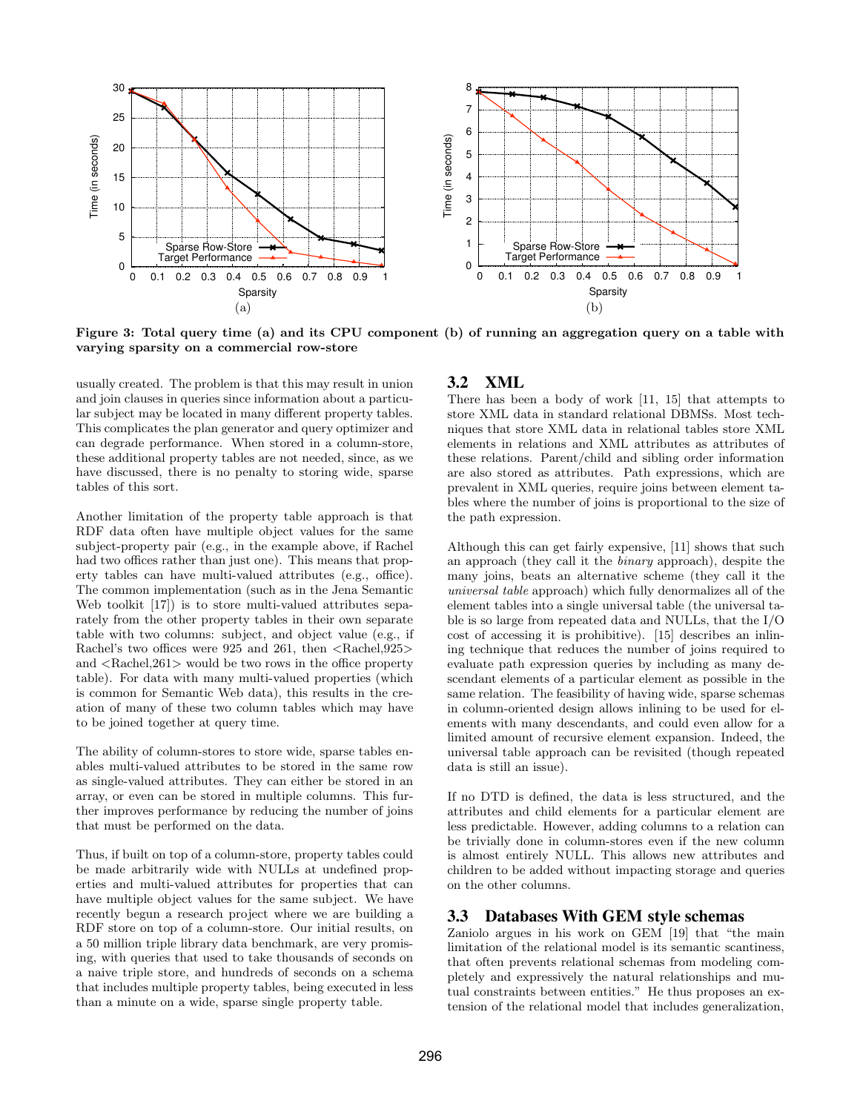

Figure 3: Total query time (a) and its CPU component (b) of running an aggregation query on a table with varying sparsity on a commercial row-store

usually created. The problem is that this may result in union and join clauses in queries since information about a particular subject may be located in many different property tables. This complicates the plan generator and query optimizer and can degrade performance. When stored in a column-store, these additional property tables are not needed, since, as we have discussed, there is no penalty to storing wide, sparse tables of this sort.

Another limitation of the property table approach is that RDF data often have multiple object values for the same subject-property pair (e.g., in the example above, if Rachel had two offices rather than just one). This means that property tables can have multi-valued attributes (e.g., office). The common implementation (such as in the Jena Semantic Web toolkit [17]) is to store multi-valued attributes separately from the other property tables in their own separate table with two columns: subject, and object value (e.g., if Rachel's two offices were 925 and 261, then  $\langle$ Rachel,925 $\rangle$ and  $\langle$ Rachel,261 $>$  would be two rows in the office property table). For data with many multi-valued properties (which is common for Semantic Web data), this results in the creation of many of these two column tables which may have to be joined together at query time.

The ability of column-stores to store wide, sparse tables enables multi-valued attributes to be stored in the same row as single-valued attributes. They can either be stored in an array, or even can be stored in multiple columns. This further improves performance by reducing the number of joins that must be performed on the data.

Thus, if built on top of a column-store, property tables could be made arbitrarily wide with NULLs at undefined properties and multi-valued attributes for properties that can have multiple object values for the same subject. We have recently begun a research project where we are building a RDF store on top of a column-store. Our initial results, on a 50 million triple library data benchmark, are very promising, with queries that used to take thousands of seconds on a naive triple store, and hundreds of seconds on a schema that includes multiple property tables, being executed in less than a minute on a wide, sparse single property table.

## **3.2 XML**

There has been a body of work [11, 15] that attempts to store XML data in standard relational DBMSs. Most techniques that store XML data in relational tables store XML elements in relations and XML attributes as attributes of these relations. Parent/child and sibling order information are also stored as attributes. Path expressions, which are prevalent in XML queries, require joins between element tables where the number of joins is proportional to the size of the path expression.

Although this can get fairly expensive, [11] shows that such an approach (they call it the binary approach), despite the many joins, beats an alternative scheme (they call it the universal table approach) which fully denormalizes all of the element tables into a single universal table (the universal table is so large from repeated data and NULLs, that the I/O cost of accessing it is prohibitive). [15] describes an inlining technique that reduces the number of joins required to evaluate path expression queries by including as many descendant elements of a particular element as possible in the same relation. The feasibility of having wide, sparse schemas in column-oriented design allows inlining to be used for elements with many descendants, and could even allow for a limited amount of recursive element expansion. Indeed, the universal table approach can be revisited (though repeated data is still an issue).

If no DTD is defined, the data is less structured, and the attributes and child elements for a particular element are less predictable. However, adding columns to a relation can be trivially done in column-stores even if the new column is almost entirely NULL. This allows new attributes and children to be added without impacting storage and queries on the other columns.

# **3.3 Databases With GEM style schemas**

Zaniolo argues in his work on GEM [19] that "the main limitation of the relational model is its semantic scantiness, that often prevents relational schemas from modeling completely and expressively the natural relationships and mutual constraints between entities." He thus proposes an extension of the relational model that includes generalization,